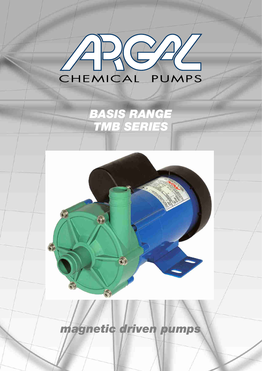

# *BASIS RANGE TMB SERIES*



# *magnetic driven pumps*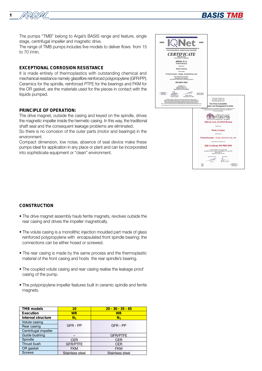

<sup>1</sup> *BASIS TMB*

The range of TMB pumps includes five models to deliver flows from 15 to 70 l/min.

## **EXCEPTIONAL CORROSION RESISTANCE**

It is made entirely of thermoplastics with outstanding chemical and mechanical resistance namely glassfibre reinforced polypropylene (GFR/PP). Ceramics for the spindle, reinforced PTFE for the bearings and FKM for the OR gasket, are the materials used for the pieces in contact with the liquids pumped.

### **PRINCIPLE OF OPERATION:**

The drive magnet, outside the casing and keyed on the spindle, drives the magnetic impeller inside the hermetic casing. In this way, the traditional shaft seal and the consequent leakage problems are eliminated.

So there is no corrosion of the outer parts (motor and bearings) in the environment.

Compact dimension, low noise, absence of seal device make these pumps ideal for application in any place or plant and can be incorporated into sophisticate equipment or "clean" environment.



### **CONSTRUCTION**

- The drive magnet assembly hauls ferrite magnets, revolves outside the rear casing and drives the impeller magnetically.
- The volute casing is a monolithic injection moulded part made of glass reinforced polypropylene with encapsulated front spindle bearing; the connections can be either hosed or screwed.
- The rear casing is made by the same process and the thermoplastic material of the front casing and hosts the rear spindle's bearing.
- The coupled volute casing and rear casing realise the leakage proof casing of the pump.
- The polypropylene impeller features built in ceramic spindle and ferrite magnets.

| TMB models           | 10              | $20 - 30 - 35 - 65$ |  |  |
|----------------------|-----------------|---------------------|--|--|
| Execution            | <b>WR</b>       | WR                  |  |  |
| Internal structure   | $N_1$           | $\mathbf{N}_1$      |  |  |
| Volute casing        |                 |                     |  |  |
| Rear casing          | GFR - PP        | GFR - PP            |  |  |
| Centrifugal impeller |                 |                     |  |  |
| Guide bushing        |                 | <b>GFR/PTFE</b>     |  |  |
| Spindle              | <b>CER</b>      | <b>CER</b>          |  |  |
| Thrust bush          | <b>GFR/PTFE</b> | <b>CER</b>          |  |  |
| OR gasket            | <b>FKM</b>      | <b>FKM</b>          |  |  |
| <b>Screws</b>        | Stainless steel | Stainless steel     |  |  |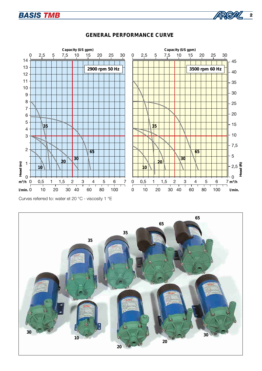



# **GENERAL PERFORMANCE CURVE**

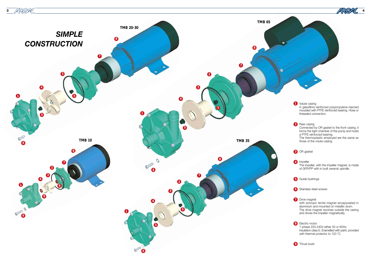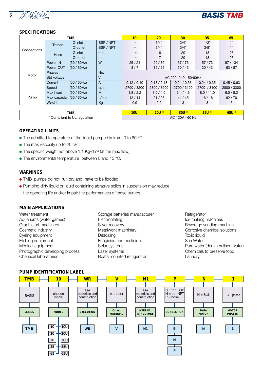



# **SPECIFICATIONS**

| <b>TMB</b>  |                             |                      | 10                          | 20                       | 30          | 35          | 65          |             |  |
|-------------|-----------------------------|----------------------|-----------------------------|--------------------------|-------------|-------------|-------------|-------------|--|
| Connections | Thread                      | $Ø$ inlet            | BSP / NPT                   | $\overline{\phantom{0}}$ | 3/4"        | 3/4"        | 1/2"        | 1"          |  |
|             |                             | $\varnothing$ outlet | BSP / NPT                   | $\overline{\phantom{0}}$ | 3/4"        | 3/4"        | 3/8"        | 1"          |  |
|             | Hose                        | $Ø$ inlet            | mm                          | 14                       | 18          | 20          | 18          | 26          |  |
|             |                             | $\varnothing$ outlet | mm                          | 14                       | 17          | 20          | 18          | 26          |  |
| Motor       | Power IN                    | $(50 / 60$ Hz)       | W                           | 25/21                    | 29/39       | 57/73       | 57/73       | 97/134      |  |
|             | $(50 / 60$ Hz)<br>Power OUT |                      |                             | 8/7                      | 15/21       | 30/43       | 30/43       | 63/87       |  |
|             | <b>Phases</b><br>No.        |                      |                             |                          |             |             |             |             |  |
|             | Std voltage<br>٧            |                      |                             | AC 220~240 - 50/60Hz     |             |             |             |             |  |
|             | Current                     | $(50 / 60$ Hz)       | $\mathsf{A}$                | 0,12/0,10                | 0,13/0,18   | 0.24 / 0.36 | 0.24 / 0.35 | 0,45/0,63   |  |
|             | Speed                       | $(50 / 60$ Hz)       | r.p.m.                      | 2700 / 3200              | 2800 / 3200 | 2700 / 3100 | 2700 / 3100 | 2800 / 3300 |  |
| Pump        | Max head                    | (50/60Hz)            | M                           | 1,8/2,2                  | 3,0/4,0     | 3,4/4,5     | 8.0 / 11.0  | 6,0/8,2     |  |
|             | Max capacity                | (50/60Hz)            | L/min                       | 12/14                    | 21/25       | 41/45       | 16/18       | 62/70       |  |
|             | Weight<br>Kg                |                      |                             | 0,9                      | 2,2         | 3           | 3           | 5           |  |
|             |                             |                      |                             |                          |             |             |             |             |  |
| ma en       |                             |                      | $1$ $\Omega$ $\overline{1}$ | $0$ $0$ $11$ $*$         | $0.011*$    | $QFTI*$     | $OFTI$ *    |             |  |

| <b>TMB</b>                                      | $10\mathrm{U}$                                        | זהפ<br>50 L |  |  |  |
|-------------------------------------------------|-------------------------------------------------------|-------------|--|--|--|
| $\cdot$ .<br>`ompliant<br>regulation<br>◡◡<br>. | CDH<br>0 <sup>n</sup><br>AC<br>$\cdots$<br>' ⊓∠<br>oυ |             |  |  |  |

# **OPERATING LIMITS**

- The admitted temperature of the liquid pumped is from 0 to 60 °C.
- The max viscosity up to 20 cPt.
- The specific weight not above 1,1 Kg/dm<sup>3</sup> (at the max flow).
- The environmental temperature between 0 and 45 °C.

## **WARNINGS**

- TMB pumps do not run dry and have to be flooded.
- Pumping dirty liquid or liquid containing abrasive solids in suspension may reduce the operating life and/or impair the performances of these pumps.

# **MAIN APPLICATIONS**

| Storage batteries manufacturer |
|--------------------------------|
| Electroplating                 |
| Silver recovery                |
| Metalwork machinery            |
| Descaling                      |
| Fungicide and pesticide        |
| Solar systems                  |
| Laser systems                  |
| Boats mounted refrigerator     |
|                                |

**Refrigerator** Ice making machines Beverage vending machine Corrosive chemical solutions Toxic liquid Sea Water Pure water (demineralised water) Chemicals to preserve food **Laundry** 

# **PUMP IDENTIFICATION LABEL**

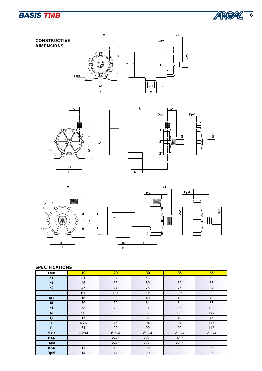







# **SPECIFICATIONS**

| <b>TMB</b>   | 10                       | <b>20</b> | 30    | 35    | 65    |
|--------------|--------------------------|-----------|-------|-------|-------|
| a1           | 31                       | 37        | 48    | 34    | 62    |
| h1           | 45                       | 55        | 60    | 60    | 67    |
| h2           | 47                       | 74        | 75    | 75    | 84    |
| $\mathbf{L}$ | 100                      | 181       | 206   | 206   | 222   |
| m1           | 16                       | 30        | 40    | 40    | 40    |
| M            | 30                       | 50        | 64    | 64    | 68    |
| n1           | 78                       | 70        | 100   | 100   | 120   |
| $\mathbf N$  | 90                       | 92        | 120   | 120   | 144   |
| $\bf Q$      | 17                       | 30        | 32    | 40    | 45    |
| $\bf r$      | 46,5                     | 75        | 94    | 94    | 115   |
| ${\bf R}$    | 71                       | 90        | 90    | 90    | 115   |
| d x z        | Ø 5x4                    | $Ø$ 6x4   | Ø 8x4 | Ø 8x4 | Ø 8x4 |
| DeA          | $\overline{\phantom{m}}$ | 3/4"      | 3/4"  | 1/2"  | 1"    |
| DeM          | -                        | 3/4"      | 3/4"  | 3/8"  | 1"    |
| <b>DpA</b>   | 14                       | 18        | 20    | 18    | 26    |
| <b>DpM</b>   | 14                       | 17        | 20    | 18    | 26    |